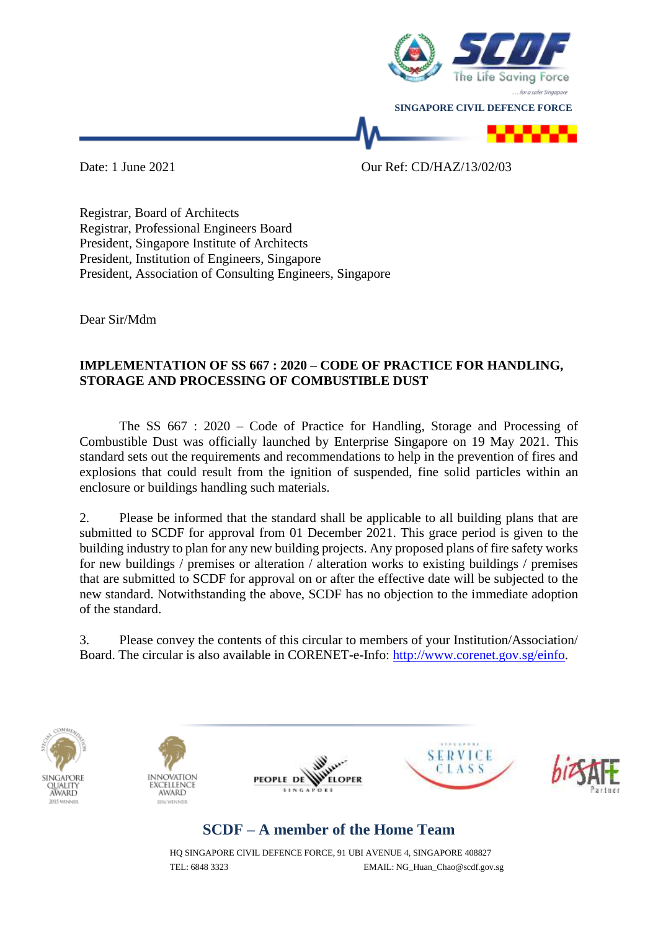

Date: 1 June 2021 Our Ref: CD/HAZ/13/02/03

Registrar, Board of Architects Registrar, Professional Engineers Board President, Singapore Institute of Architects President, Institution of Engineers, Singapore President, Association of Consulting Engineers, Singapore

Dear Sir/Mdm

## **IMPLEMENTATION OF SS 667 : 2020 – CODE OF PRACTICE FOR HANDLING, STORAGE AND PROCESSING OF COMBUSTIBLE DUST**

The SS 667 : 2020 – Code of Practice for Handling, Storage and Processing of Combustible Dust was officially launched by Enterprise Singapore on 19 May 2021. This standard sets out the requirements and recommendations to help in the prevention of fires and explosions that could result from the ignition of suspended, fine solid particles within an enclosure or buildings handling such materials.

2. Please be informed that the standard shall be applicable to all building plans that are submitted to SCDF for approval from 01 December 2021. This grace period is given to the building industry to plan for any new building projects. Any proposed plans of fire safety works for new buildings / premises or alteration / alteration works to existing buildings / premises that are submitted to SCDF for approval on or after the effective date will be subjected to the new standard. Notwithstanding the above, SCDF has no objection to the immediate adoption of the standard.

3. Please convey the contents of this circular to members of your Institution/Association/ Board. The circular is also available in CORENET-e-Info: [http://www.corenet.gov.sg/einfo.](http://www.corenet.gov.sg/einfo)











## **SCDF – A member of the Home Team**

HQ SINGAPORE CIVIL DEFENCE FORCE, 91 UBI AVENUE 4, SINGAPORE 408827 TEL: 6848 3323 EMAIL: NG\_Huan\_Chao@scdf.gov.sg